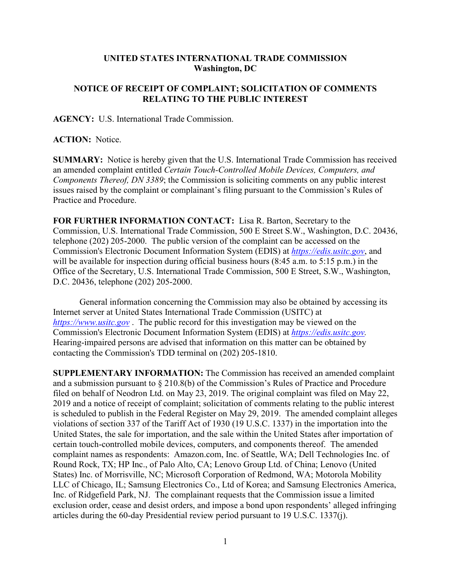## **UNITED STATES INTERNATIONAL TRADE COMMISSION Washington, DC**

## **NOTICE OF RECEIPT OF COMPLAINT; SOLICITATION OF COMMENTS RELATING TO THE PUBLIC INTEREST**

**AGENCY:** U.S. International Trade Commission.

**ACTION:** Notice.

**SUMMARY:** Notice is hereby given that the U.S. International Trade Commission has received an amended complaint entitled *Certain Touch-Controlled Mobile Devices, Computers, and Components Thereof, DN 3389*; the Commission is soliciting comments on any public interest issues raised by the complaint or complainant's filing pursuant to the Commission's Rules of Practice and Procedure.

**FOR FURTHER INFORMATION CONTACT:** Lisa R. Barton, Secretary to the Commission, U.S. International Trade Commission, 500 E Street S.W., Washington, D.C. 20436, telephone (202) 205-2000. The public version of the complaint can be accessed on the Commission's Electronic Document Information System (EDIS) at *[https://edis.usitc.gov](https://edis.usitc.gov/)*, and will be available for inspection during official business hours (8:45 a.m. to 5:15 p.m.) in the Office of the Secretary, U.S. International Trade Commission, 500 E Street, S.W., Washington, D.C. 20436, telephone (202) 205-2000.

General information concerning the Commission may also be obtained by accessing its Internet server at United States International Trade Commission (USITC) at *[https://www.usitc.gov](https://www.usitc.gov/)* . The public record for this investigation may be viewed on the Commission's Electronic Document Information System (EDIS) at *[https://edis.usitc.gov.](https://edis.usitc.gov/)* Hearing-impaired persons are advised that information on this matter can be obtained by contacting the Commission's TDD terminal on (202) 205-1810.

**SUPPLEMENTARY INFORMATION:** The Commission has received an amended complaint and a submission pursuant to § 210.8(b) of the Commission's Rules of Practice and Procedure filed on behalf of Neodron Ltd. on May 23, 2019. The original complaint was filed on May 22, 2019 and a notice of receipt of complaint; solicitation of comments relating to the public interest is scheduled to publish in the Federal Register on May 29, 2019. The amended complaint alleges violations of section 337 of the Tariff Act of 1930 (19 U.S.C. 1337) in the importation into the United States, the sale for importation, and the sale within the United States after importation of certain touch-controlled mobile devices, computers, and components thereof. The amended complaint names as respondents: Amazon.com, Inc. of Seattle, WA; Dell Technologies Inc. of Round Rock, TX; HP Inc., of Palo Alto, CA; Lenovo Group Ltd. of China; Lenovo (United States) Inc. of Morrisville, NC; Microsoft Corporation of Redmond, WA; Motorola Mobility LLC of Chicago, IL; Samsung Electronics Co., Ltd of Korea; and Samsung Electronics America, Inc. of Ridgefield Park, NJ. The complainant requests that the Commission issue a limited exclusion order, cease and desist orders, and impose a bond upon respondents' alleged infringing articles during the 60-day Presidential review period pursuant to 19 U.S.C. 1337(j).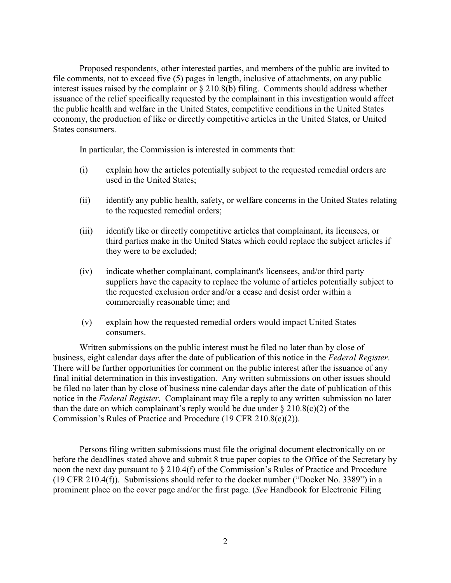Proposed respondents, other interested parties, and members of the public are invited to file comments, not to exceed five (5) pages in length, inclusive of attachments, on any public interest issues raised by the complaint or § 210.8(b) filing. Comments should address whether issuance of the relief specifically requested by the complainant in this investigation would affect the public health and welfare in the United States, competitive conditions in the United States economy, the production of like or directly competitive articles in the United States, or United States consumers.

In particular, the Commission is interested in comments that:

- (i) explain how the articles potentially subject to the requested remedial orders are used in the United States;
- (ii) identify any public health, safety, or welfare concerns in the United States relating to the requested remedial orders;
- (iii) identify like or directly competitive articles that complainant, its licensees, or third parties make in the United States which could replace the subject articles if they were to be excluded;
- (iv) indicate whether complainant, complainant's licensees, and/or third party suppliers have the capacity to replace the volume of articles potentially subject to the requested exclusion order and/or a cease and desist order within a commercially reasonable time; and
- (v) explain how the requested remedial orders would impact United States consumers.

Written submissions on the public interest must be filed no later than by close of business, eight calendar days after the date of publication of this notice in the *Federal Register*. There will be further opportunities for comment on the public interest after the issuance of any final initial determination in this investigation. Any written submissions on other issues should be filed no later than by close of business nine calendar days after the date of publication of this notice in the *Federal Register*. Complainant may file a reply to any written submission no later than the date on which complainant's reply would be due under  $\S 210.8(c)(2)$  of the Commission's Rules of Practice and Procedure (19 CFR 210.8(c)(2)).

Persons filing written submissions must file the original document electronically on or before the deadlines stated above and submit 8 true paper copies to the Office of the Secretary by noon the next day pursuant to § 210.4(f) of the Commission's Rules of Practice and Procedure (19 CFR 210.4(f)). Submissions should refer to the docket number ("Docket No. 3389") in a prominent place on the cover page and/or the first page. (*See* Handbook for Electronic Filing